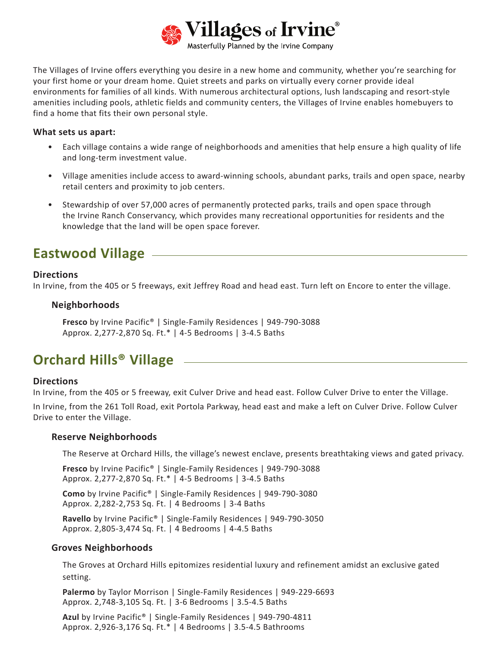

The Villages of Irvine offers everything you desire in a new home and community, whether you're searching for your first home or your dream home. Quiet streets and parks on virtually every corner provide ideal environments for families of all kinds. With numerous architectural options, lush landscaping and resort-style amenities including pools, athletic fields and community centers, the Villages of Irvine enables homebuyers to find a home that fits their own personal style.

#### **What sets us apart:**

- Each village contains a wide range of neighborhoods and amenities that help ensure a high quality of life and long-term investment value.
- Village amenities include access to award-winning schools, abundant parks, trails and open space, nearby retail centers and proximity to job centers.
- Stewardship of over 57,000 acres of permanently protected parks, trails and open space through the Irvine Ranch Conservancy, which provides many recreational opportunities for residents and the knowledge that the land will be open space forever.

# **Eastwood Village**

### **Directions**

In Irvine, from the 405 or 5 freeways, exit Jeffrey Road and head east. Turn left on Encore to enter the village.

### **Neighborhoods**

**Fresco** by Irvine Pacific® | Single-Family Residences | 949-790-3088 Approx. 2,277-2,870 Sq. Ft.\* | 4-5 Bedrooms | 3-4.5 Baths

## **Orchard Hills® Village**

### **Directions**

In Irvine, from the 405 or 5 freeway, exit Culver Drive and head east. Follow Culver Drive to enter the Village.

In Irvine, from the 261 Toll Road, exit Portola Parkway, head east and make a left on Culver Drive. Follow Culver Drive to enter the Village.

#### **Reserve Neighborhoods**

The Reserve at Orchard Hills, the village's newest enclave, presents breathtaking views and gated privacy.

**Fresco** by Irvine Pacific® | Single-Family Residences | 949-790-3088 Approx. 2,277-2,870 Sq. Ft.\* | 4-5 Bedrooms | 3-4.5 Baths

**Como** by Irvine Pacific® | Single-Family Residences | 949-790-3080 Approx. 2,282-2,753 Sq. Ft. | 4 Bedrooms | 3-4 Baths

**Ravello** by Irvine Pacific® | Single-Family Residences | 949-790-3050 Approx. 2,805-3,474 Sq. Ft. | 4 Bedrooms | 4-4.5 Baths

#### **Groves Neighborhoods**

The Groves at Orchard Hills epitomizes residential luxury and refinement amidst an exclusive gated setting.

**Palermo** by Taylor Morrison | Single-Family Residences | 949-229-6693 Approx. 2,748-3,105 Sq. Ft. | 3-6 Bedrooms | 3.5-4.5 Baths

**Azul** by Irvine Pacific® | Single-Family Residences | 949-790-4811 Approx. 2,926-3,176 Sq. Ft.\* | 4 Bedrooms | 3.5-4.5 Bathrooms